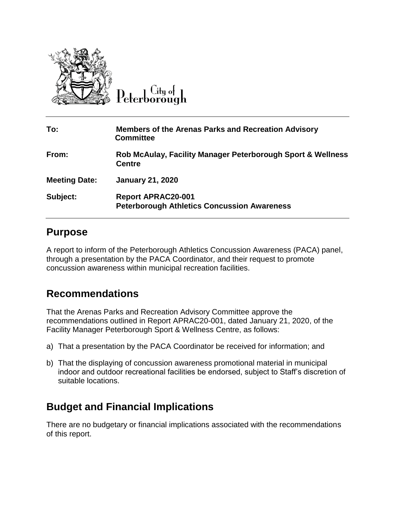

City of  $\operatorname{Peterborough}$ 

| To:                  | <b>Members of the Arenas Parks and Recreation Advisory</b><br><b>Committee</b>  |
|----------------------|---------------------------------------------------------------------------------|
| From:                | Rob McAulay, Facility Manager Peterborough Sport & Wellness<br><b>Centre</b>    |
| <b>Meeting Date:</b> | <b>January 21, 2020</b>                                                         |
| Subject:             | <b>Report APRAC20-001</b><br><b>Peterborough Athletics Concussion Awareness</b> |

#### **Purpose**

A report to inform of the Peterborough Athletics Concussion Awareness (PACA) panel, through a presentation by the PACA Coordinator, and their request to promote concussion awareness within municipal recreation facilities.

## **Recommendations**

That the Arenas Parks and Recreation Advisory Committee approve the recommendations outlined in Report APRAC20-001, dated January 21, 2020, of the Facility Manager Peterborough Sport & Wellness Centre, as follows:

- a) That a presentation by the PACA Coordinator be received for information; and
- b) That the displaying of concussion awareness promotional material in municipal indoor and outdoor recreational facilities be endorsed, subject to Staff's discretion of suitable locations.

## **Budget and Financial Implications**

There are no budgetary or financial implications associated with the recommendations of this report.